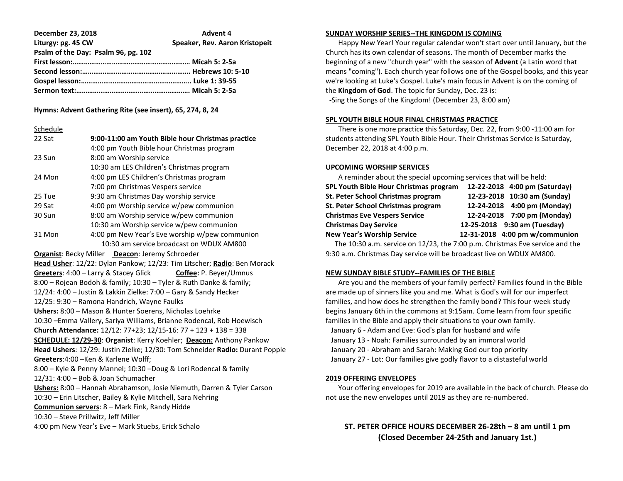| <b>December 23, 2018</b>            | <b>Advent 4</b>                |
|-------------------------------------|--------------------------------|
| Liturgy: pg. 45 CW                  | Speaker, Rev. Aaron Kristopeit |
| Psalm of the Day: Psalm 96, pg. 102 |                                |
|                                     |                                |
|                                     |                                |
|                                     |                                |
|                                     |                                |

## **Hymns: Advent Gathering Rite (see insert), 65, 274, 8, 24**

## **Schedule**

| 22 Sat                                                                | 9:00-11:00 am Youth Bible hour Christmas practice                            |  |
|-----------------------------------------------------------------------|------------------------------------------------------------------------------|--|
|                                                                       | 4:00 pm Youth Bible hour Christmas program                                   |  |
| 23 Sun                                                                | 8:00 am Worship service                                                      |  |
|                                                                       | 10:30 am LES Children's Christmas program                                    |  |
| 24 Mon                                                                | 4:00 pm LES Children's Christmas program                                     |  |
|                                                                       | 7:00 pm Christmas Vespers service                                            |  |
| 25 Tue                                                                | 9:30 am Christmas Day worship service                                        |  |
| 29 Sat                                                                | 4:00 pm Worship service w/pew communion                                      |  |
| 30 Sun                                                                | 8:00 am Worship service w/pew communion                                      |  |
|                                                                       | 10:30 am Worship service w/pew communion                                     |  |
| 31 Mon                                                                | 4:00 pm New Year's Eve worship w/pew communion                               |  |
|                                                                       | 10:30 am service broadcast on WDUX AM800                                     |  |
|                                                                       | <b>Organist: Becky Miller Deacon: Jeremy Schroeder</b>                       |  |
|                                                                       | Head Usher: 12/22: Dylan Pankow; 12/23: Tim Litscher; Radio: Ben Morack      |  |
|                                                                       | Greeters: 4:00 - Larry & Stacey Glick<br>Coffee: P. Beyer/Umnus              |  |
| 8:00 - Rojean Bodoh & family; 10:30 - Tyler & Ruth Danke & family;    |                                                                              |  |
| 12/24: 4:00 - Justin & Lakkin Zielke: 7:00 - Gary & Sandy Hecker      |                                                                              |  |
| 12/25: 9:30 - Ramona Handrich, Wayne Faulks                           |                                                                              |  |
| Ushers: 8:00 - Mason & Hunter Soerens, Nicholas Loehrke               |                                                                              |  |
| 10:30 - Emma Vallery, Sariya Williams, Brianne Rodencal, Rob Hoewisch |                                                                              |  |
|                                                                       | Church Attendance: 12/12: 77+23; 12/15-16: 77 + 123 + 138 = 338              |  |
|                                                                       | SCHEDULE: 12/29-30: Organist: Kerry Koehler; Deacon: Anthony Pankow          |  |
|                                                                       | Head Ushers: 12/29: Justin Zielke; 12/30: Tom Schneider Radio: Durant Popple |  |
| Greeters: 4:00 - Ken & Karlene Wolff;                                 |                                                                              |  |
| 8:00 - Kyle & Penny Mannel; 10:30 -Doug & Lori Rodencal & family      |                                                                              |  |
|                                                                       | 12/31: 4:00 - Bob & Joan Schumacher                                          |  |
|                                                                       | Ushers: 8:00 - Hannah Abrahamson, Josie Niemuth, Darren & Tyler Carson       |  |
|                                                                       | 10:30 - Erin Litscher, Bailey & Kylie Mitchell, Sara Nehring                 |  |
|                                                                       | Communion servers: 8 - Mark Fink, Randy Hidde                                |  |
| 10:30 - Steve Prillwitz, Jeff Miller                                  |                                                                              |  |
| 4:00 pm New Year's Eve - Mark Stuebs, Erick Schalo                    |                                                                              |  |
|                                                                       |                                                                              |  |

## **SUNDAY WORSHIP SERIES--THE KINGDOM IS COMING**

 Happy New Year! Your regular calendar won't start over until January, but the Church has its own calendar of seasons. The month of December marks the beginning of a new "church year" with the season of **Advent** (a Latin word that means "coming"). Each church year follows one of the Gospel books, and this year we're looking at Luke's Gospel. Luke's main focus in Advent is on the coming of the **Kingdom of God**. The topic for Sunday, Dec. 23 is:

-Sing the Songs of the Kingdom! (December 23, 8:00 am)

## **SPL YOUTH BIBLE HOUR FINAL CHRISTMAS PRACTICE**

 There is one more practice this Saturday, Dec. 22, from 9:00 -11:00 am for students attending SPL Youth Bible Hour. Their Christmas Service is Saturday, December 22, 2018 at 4:00 p.m.

## **UPCOMING WORSHIP SERVICES**

| A reminder about the special upcoming services that will be held: |                                |  |
|-------------------------------------------------------------------|--------------------------------|--|
| SPL Youth Bible Hour Christmas program                            | 12-22-2018 4:00 pm (Saturday)  |  |
| St. Peter School Christmas program                                | 12-23-2018 10:30 am (Sunday)   |  |
| St. Peter School Christmas program                                | 12-24-2018 4:00 pm (Monday)    |  |
| <b>Christmas Eve Vespers Service</b>                              | 12-24-2018 7:00 pm (Monday)    |  |
| <b>Christmas Day Service</b>                                      | 12-25-2018 9:30 am (Tuesday)   |  |
| <b>New Year's Worship Service</b>                                 | 12-31-2018 4:00 pm w/communion |  |

The 10:30 a.m. service on 12/23, the 7:00 p.m. Christmas Eve service and the 9:30 a.m. Christmas Day service will be broadcast live on WDUX AM800.

## **NEW SUNDAY BIBLE STUDY--FAMILIES OF THE BIBLE**

 Are you and the members of your family perfect? Families found in the Bible are made up of sinners like you and me. What is God's will for our imperfect families, and how does he strengthen the family bond? This four-week study begins January 6th in the commons at 9:15am. Come learn from four specific families in the Bible and apply their situations to your own family. January 6 - Adam and Eve: God's plan for husband and wife January 13 - Noah: Families surrounded by an immoral world January 20 - Abraham and Sarah: Making God our top priority

January 27 - Lot: Our families give godly flavor to a distasteful world

## **2019 OFFERING ENVELOPES**

 Your offering envelopes for 2019 are available in the back of church. Please do not use the new envelopes until 2019 as they are re-numbered.

## **ST. PETER OFFICE HOURS DECEMBER 26-28th – 8 am until 1 pm (Closed December 24-25th and January 1st.)**